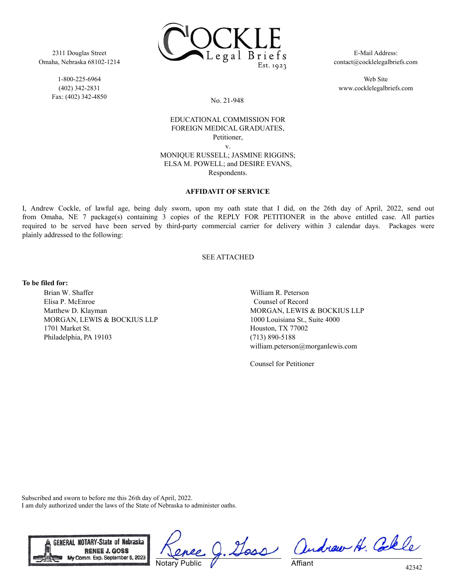2311 Douglas Street Omaha, Nebraska 68102-1214

> 1-800-225-6964 (402) 342-2831 Fax: (402) 342-4850



E-Mail Address: contact@cocklelegalbriefs.com

Web Site www.cocklelegalbriefs.com

## No. 21-948

# EDUCATIONAL COMMISSION FOR FOREIGN MEDICAL GRADUATES, Petitioner, v.

MONIQUE RUSSELL; JASMINE RIGGINS; ELSA M. POWELL; and DESIRE EVANS, Respondents.

## **AFFIDAVIT OF SERVICE**

I, Andrew Cockle, of lawful age, being duly sworn, upon my oath state that I did, on the 26th day of April, 2022, send out from Omaha, NE 7 package(s) containing 3 copies of the REPLY FOR PETITIONER in the above entitled case. All parties required to be served have been served by third-party commercial carrier for delivery within 3 calendar days. Packages were plainly addressed to the following:

## SEE ATTACHED

#### **To be filed for:**

Brian W. Shaffer Elisa P. McEnroe Matthew D. Klayman MORGAN, LEWIS & BOCKIUS LLP 1701 Market St. Philadelphia, PA 19103

William R. Peterson Counsel of Record MORGAN, LEWIS & BOCKIUS LLP 1000 Louisiana St., Suite 4000 Houston, TX 77002 (713) 890-5188 william.peterson@morganlewis.com

Counsel for Petitioner

Subscribed and sworn to before me this 26th day of April, 2022. I am duly authorized under the laws of the State of Nebraska to administer oaths.



Notary Public

Doss andrew H. Colle